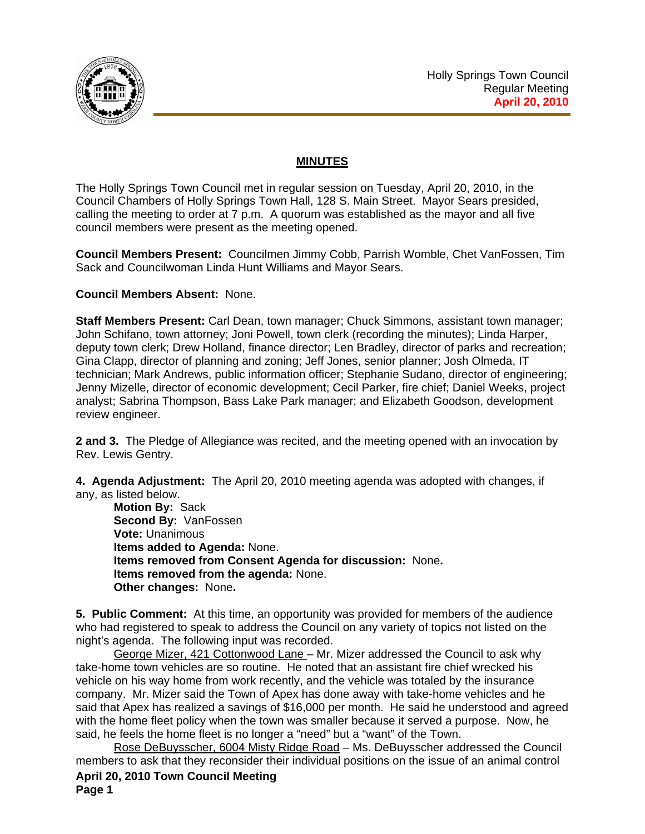

# **MINUTES**

The Holly Springs Town Council met in regular session on Tuesday, April 20, 2010, in the Council Chambers of Holly Springs Town Hall, 128 S. Main Street. Mayor Sears presided, calling the meeting to order at 7 p.m. A quorum was established as the mayor and all five council members were present as the meeting opened.

**Council Members Present:** Councilmen Jimmy Cobb, Parrish Womble, Chet VanFossen, Tim Sack and Councilwoman Linda Hunt Williams and Mayor Sears.

### **Council Members Absent:** None.

**Staff Members Present:** Carl Dean, town manager; Chuck Simmons, assistant town manager; John Schifano, town attorney; Joni Powell, town clerk (recording the minutes); Linda Harper, deputy town clerk; Drew Holland, finance director; Len Bradley, director of parks and recreation; Gina Clapp, director of planning and zoning; Jeff Jones, senior planner; Josh Olmeda, IT technician; Mark Andrews, public information officer; Stephanie Sudano, director of engineering; Jenny Mizelle, director of economic development; Cecil Parker, fire chief; Daniel Weeks, project analyst; Sabrina Thompson, Bass Lake Park manager; and Elizabeth Goodson, development review engineer.

**2 and 3.** The Pledge of Allegiance was recited, and the meeting opened with an invocation by Rev. Lewis Gentry.

**4. Agenda Adjustment:** The April 20, 2010 meeting agenda was adopted with changes, if any, as listed below.

**Motion By:** Sack **Second By:** VanFossen **Vote:** Unanimous **Items added to Agenda:** None. **Items removed from Consent Agenda for discussion:** None**. Items removed from the agenda:** None. **Other changes:** None**.** 

**5. Public Comment:** At this time, an opportunity was provided for members of the audience who had registered to speak to address the Council on any variety of topics not listed on the night's agenda. The following input was recorded.

 George Mizer, 421 Cottonwood Lane – Mr. Mizer addressed the Council to ask why take-home town vehicles are so routine. He noted that an assistant fire chief wrecked his vehicle on his way home from work recently, and the vehicle was totaled by the insurance company. Mr. Mizer said the Town of Apex has done away with take-home vehicles and he said that Apex has realized a savings of \$16,000 per month. He said he understood and agreed with the home fleet policy when the town was smaller because it served a purpose. Now, he said, he feels the home fleet is no longer a "need" but a "want" of the Town.

**April 20, 2010 Town Council Meeting Page 1**  Rose DeBuysscher, 6004 Misty Ridge Road – Ms. DeBuysscher addressed the Council members to ask that they reconsider their individual positions on the issue of an animal control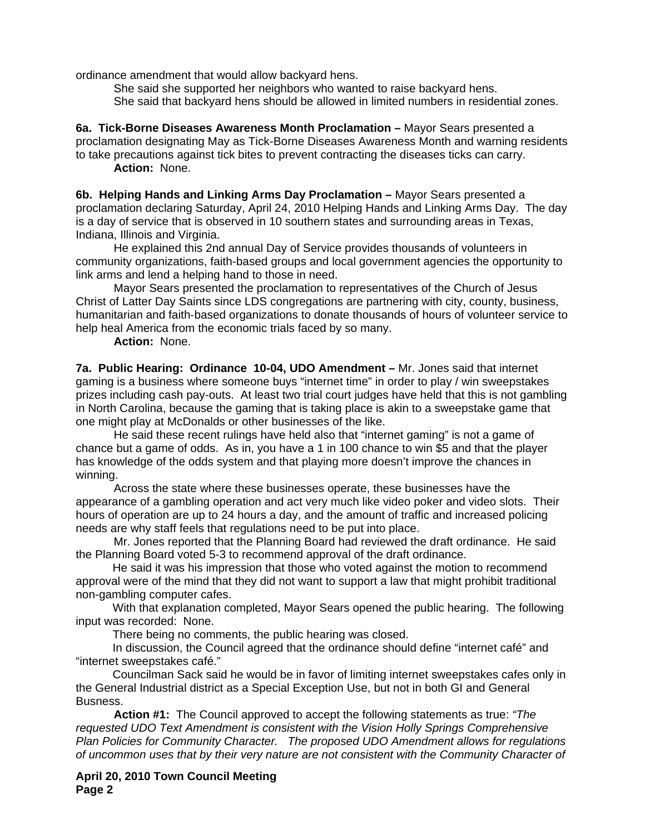ordinance amendment that would allow backyard hens.

 She said she supported her neighbors who wanted to raise backyard hens. She said that backyard hens should be allowed in limited numbers in residential zones.

**6a. Tick-Borne Diseases Awareness Month Proclamation –** Mayor Sears presented a proclamation designating May as Tick-Borne Diseases Awareness Month and warning residents to take precautions against tick bites to prevent contracting the diseases ticks can carry. **Action:** None.

**6b. Helping Hands and Linking Arms Day Proclamation –** Mayor Sears presented a proclamation declaring Saturday, April 24, 2010 Helping Hands and Linking Arms Day. The day is a day of service that is observed in 10 southern states and surrounding areas in Texas, Indiana, Illinois and Virginia.

 He explained this 2nd annual Day of Service provides thousands of volunteers in community organizations, faith-based groups and local government agencies the opportunity to link arms and lend a helping hand to those in need.

 Mayor Sears presented the proclamation to representatives of the Church of Jesus Christ of Latter Day Saints since LDS congregations are partnering with city, county, business, humanitarian and faith‐based organizations to donate thousands of hours of volunteer service to help heal America from the economic trials faced by so many.

**Action:** None.

**7a. Public Hearing: Ordinance 10-04, UDO Amendment –** Mr. Jones said that internet gaming is a business where someone buys "internet time" in order to play / win sweepstakes prizes including cash pay-outs. At least two trial court judges have held that this is not gambling in North Carolina, because the gaming that is taking place is akin to a sweepstake game that one might play at McDonalds or other businesses of the like.

 He said these recent rulings have held also that "internet gaming" is not a game of chance but a game of odds. As in, you have a 1 in 100 chance to win \$5 and that the player has knowledge of the odds system and that playing more doesn't improve the chances in winning.

 Across the state where these businesses operate, these businesses have the appearance of a gambling operation and act very much like video poker and video slots. Their hours of operation are up to 24 hours a day, and the amount of traffic and increased policing needs are why staff feels that regulations need to be put into place.

 Mr. Jones reported that the Planning Board had reviewed the draft ordinance. He said the Planning Board voted 5-3 to recommend approval of the draft ordinance.

 He said it was his impression that those who voted against the motion to recommend approval were of the mind that they did not want to support a law that might prohibit traditional non-gambling computer cafes.

 With that explanation completed, Mayor Sears opened the public hearing. The following input was recorded: None.

There being no comments, the public hearing was closed.

 In discussion, the Council agreed that the ordinance should define "internet café" and "internet sweepstakes café."

 Councilman Sack said he would be in favor of limiting internet sweepstakes cafes only in the General Industrial district as a Special Exception Use, but not in both GI and General Busness.

**Action #1:** The Council approved to accept the following statements as true: *"The requested UDO Text Amendment is consistent with the Vision Holly Springs Comprehensive Plan Policies for Community Character. The proposed UDO Amendment allows for regulations of uncommon uses that by their very nature are not consistent with the Community Character of*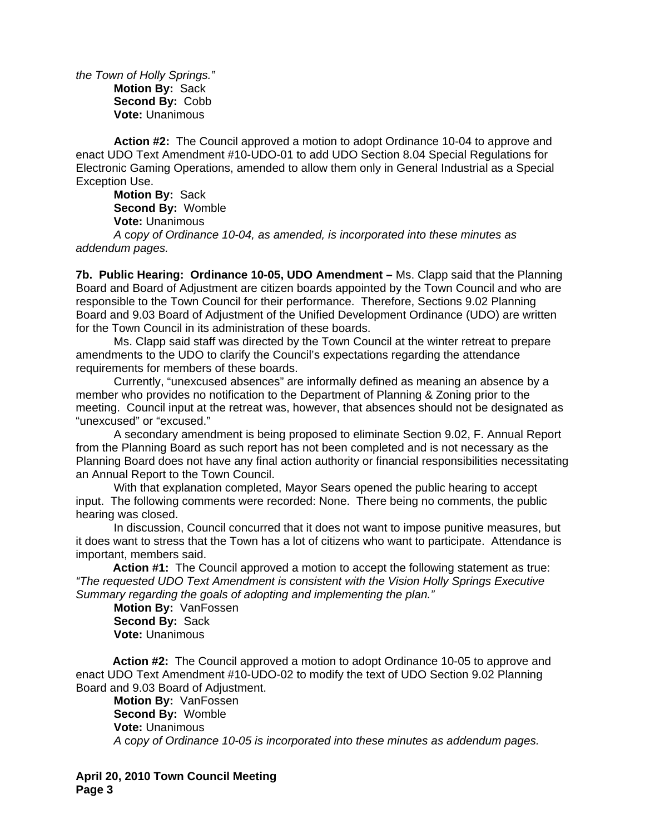*the Town of Holly Springs."*  **Motion By:** Sack **Second By:** Cobb **Vote:** Unanimous

 **Action #2:** The Council approved a motion to adopt Ordinance 10-04 to approve and enact UDO Text Amendment #10-UDO-01 to add UDO Section 8.04 Special Regulations for Electronic Gaming Operations, amended to allow them only in General Industrial as a Special Exception Use.

**Motion By:** Sack **Second By:** Womble **Vote:** Unanimous  *A* c*opy of Ordinance 10-04, as amended, is incorporated into these minutes as addendum pages.*

**7b. Public Hearing: Ordinance 10-05, UDO Amendment –** Ms. Clapp said that the Planning Board and Board of Adjustment are citizen boards appointed by the Town Council and who are responsible to the Town Council for their performance. Therefore, Sections 9.02 Planning Board and 9.03 Board of Adjustment of the Unified Development Ordinance (UDO) are written for the Town Council in its administration of these boards.

 Ms. Clapp said staff was directed by the Town Council at the winter retreat to prepare amendments to the UDO to clarify the Council's expectations regarding the attendance requirements for members of these boards.

Currently, "unexcused absences" are informally defined as meaning an absence by a member who provides no notification to the Department of Planning & Zoning prior to the meeting. Council input at the retreat was, however, that absences should not be designated as "unexcused" or "excused."

 A secondary amendment is being proposed to eliminate Section 9.02, F. Annual Report from the Planning Board as such report has not been completed and is not necessary as the Planning Board does not have any final action authority or financial responsibilities necessitating an Annual Report to the Town Council.

With that explanation completed, Mayor Sears opened the public hearing to accept input. The following comments were recorded: None. There being no comments, the public hearing was closed.

In discussion, Council concurred that it does not want to impose punitive measures, but it does want to stress that the Town has a lot of citizens who want to participate. Attendance is important, members said.

 **Action #1:** The Council approved a motion to accept the following statement as true: *"The requested UDO Text Amendment is consistent with the Vision Holly Springs Executive Summary regarding the goals of adopting and implementing the plan."* 

**Motion By:** VanFossen **Second By:** Sack **Vote:** Unanimous

 **Action #2:** The Council approved a motion to adopt Ordinance 10-05 to approve and enact UDO Text Amendment #10-UDO-02 to modify the text of UDO Section 9.02 Planning Board and 9.03 Board of Adjustment.

**Motion By:** VanFossen **Second By:** Womble **Vote:** Unanimous  *A* c*opy of Ordinance 10-05 is incorporated into these minutes as addendum pages.*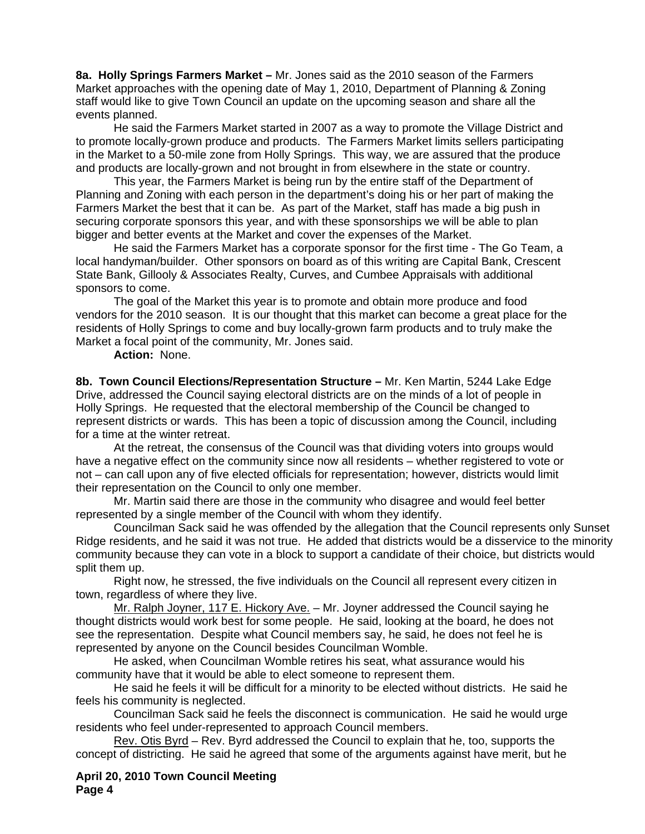**8a. Holly Springs Farmers Market –** Mr. Jones said as the 2010 season of the Farmers Market approaches with the opening date of May 1, 2010, Department of Planning & Zoning staff would like to give Town Council an update on the upcoming season and share all the events planned.

 He said the Farmers Market started in 2007 as a way to promote the Village District and to promote locally-grown produce and products. The Farmers Market limits sellers participating in the Market to a 50-mile zone from Holly Springs. This way, we are assured that the produce and products are locally-grown and not brought in from elsewhere in the state or country.

 This year, the Farmers Market is being run by the entire staff of the Department of Planning and Zoning with each person in the department's doing his or her part of making the Farmers Market the best that it can be. As part of the Market, staff has made a big push in securing corporate sponsors this year, and with these sponsorships we will be able to plan bigger and better events at the Market and cover the expenses of the Market.

 He said the Farmers Market has a corporate sponsor for the first time - The Go Team, a local handyman/builder. Other sponsors on board as of this writing are Capital Bank, Crescent State Bank, Gillooly & Associates Realty, Curves, and Cumbee Appraisals with additional sponsors to come.

 The goal of the Market this year is to promote and obtain more produce and food vendors for the 2010 season. It is our thought that this market can become a great place for the residents of Holly Springs to come and buy locally-grown farm products and to truly make the Market a focal point of the community, Mr. Jones said.

**Action:** None.

**8b. Town Council Elections/Representation Structure –** Mr. Ken Martin, 5244 Lake Edge Drive, addressed the Council saying electoral districts are on the minds of a lot of people in Holly Springs. He requested that the electoral membership of the Council be changed to represent districts or wards. This has been a topic of discussion among the Council, including for a time at the winter retreat.

 At the retreat, the consensus of the Council was that dividing voters into groups would have a negative effect on the community since now all residents – whether registered to vote or not – can call upon any of five elected officials for representation; however, districts would limit their representation on the Council to only one member.

 Mr. Martin said there are those in the community who disagree and would feel better represented by a single member of the Council with whom they identify.

Councilman Sack said he was offended by the allegation that the Council represents only Sunset Ridge residents, and he said it was not true. He added that districts would be a disservice to the minority community because they can vote in a block to support a candidate of their choice, but districts would split them up.

Right now, he stressed, the five individuals on the Council all represent every citizen in town, regardless of where they live.

Mr. Ralph Joyner, 117 E. Hickory Ave. – Mr. Joyner addressed the Council saying he thought districts would work best for some people. He said, looking at the board, he does not see the representation. Despite what Council members say, he said, he does not feel he is represented by anyone on the Council besides Councilman Womble.

He asked, when Councilman Womble retires his seat, what assurance would his community have that it would be able to elect someone to represent them.

He said he feels it will be difficult for a minority to be elected without districts. He said he feels his community is neglected.

Councilman Sack said he feels the disconnect is communication. He said he would urge residents who feel under-represented to approach Council members.

Rev. Otis Byrd – Rev. Byrd addressed the Council to explain that he, too, supports the concept of districting. He said he agreed that some of the arguments against have merit, but he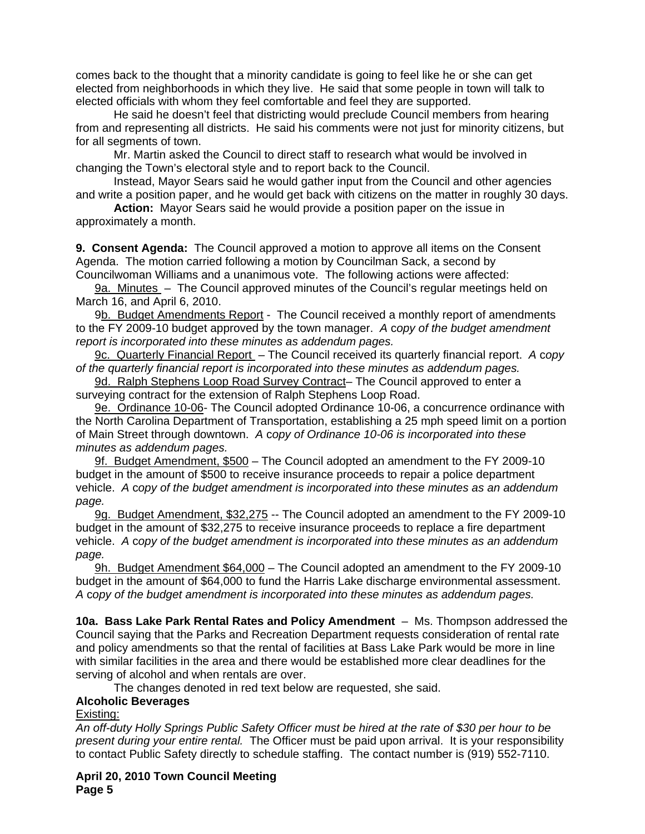comes back to the thought that a minority candidate is going to feel like he or she can get elected from neighborhoods in which they live. He said that some people in town will talk to elected officials with whom they feel comfortable and feel they are supported.

He said he doesn't feel that districting would preclude Council members from hearing from and representing all districts. He said his comments were not just for minority citizens, but for all segments of town.

Mr. Martin asked the Council to direct staff to research what would be involved in changing the Town's electoral style and to report back to the Council.

Instead, Mayor Sears said he would gather input from the Council and other agencies and write a position paper, and he would get back with citizens on the matter in roughly 30 days.

**Action:** Mayor Sears said he would provide a position paper on the issue in approximately a month.

**9. Consent Agenda:** The Council approved a motion to approve all items on the Consent Agenda. The motion carried following a motion by Councilman Sack, a second by Councilwoman Williams and a unanimous vote. The following actions were affected:

9a. Minutes – The Council approved minutes of the Council's regular meetings held on March 16, and April 6, 2010.

9b. Budget Amendments Report - The Council received a monthly report of amendments to the FY 2009-10 budget approved by the town manager. *A* c*opy of the budget amendment report is incorporated into these minutes as addendum pages.*

9c. Quarterly Financial Report – The Council received its quarterly financial report. *A* c*opy of the quarterly financial report is incorporated into these minutes as addendum pages.*

9d. Ralph Stephens Loop Road Survey Contract– The Council approved to enter a surveying contract for the extension of Ralph Stephens Loop Road.

9e. Ordinance 10-06- The Council adopted Ordinance 10-06, a concurrence ordinance with the North Carolina Department of Transportation, establishing a 25 mph speed limit on a portion of Main Street through downtown.*A* c*opy of Ordinance 10-06 is incorporated into these minutes as addendum pages.*

9f. Budget Amendment, \$500 – The Council adopted an amendment to the FY 2009-10 budget in the amount of \$500 to receive insurance proceeds to repair a police department vehicle. *A* c*opy of the budget amendment is incorporated into these minutes as an addendum page.*

9g. Budget Amendment, \$32,275 -- The Council adopted an amendment to the FY 2009-10 budget in the amount of \$32,275 to receive insurance proceeds to replace a fire department vehicle. *A* c*opy of the budget amendment is incorporated into these minutes as an addendum page.*

9h. Budget Amendment \$64,000 - The Council adopted an amendment to the FY 2009-10 budget in the amount of \$64,000 to fund the Harris Lake discharge environmental assessment. *A* c*opy of the budget amendment is incorporated into these minutes as addendum pages.*

**10a. Bass Lake Park Rental Rates and Policy Amendment** – Ms. Thompson addressed the Council saying that the Parks and Recreation Department requests consideration of rental rate and policy amendments so that the rental of facilities at Bass Lake Park would be more in line with similar facilities in the area and there would be established more clear deadlines for the serving of alcohol and when rentals are over.

The changes denoted in red text below are requested, she said.

## **Alcoholic Beverages**

Existing:

*An off-duty Holly Springs Public Safety Officer must be hired at the rate of \$30 per hour to be present during your entire rental.* The Officer must be paid upon arrival. It is your responsibility to contact Public Safety directly to schedule staffing. The contact number is (919) 552-7110.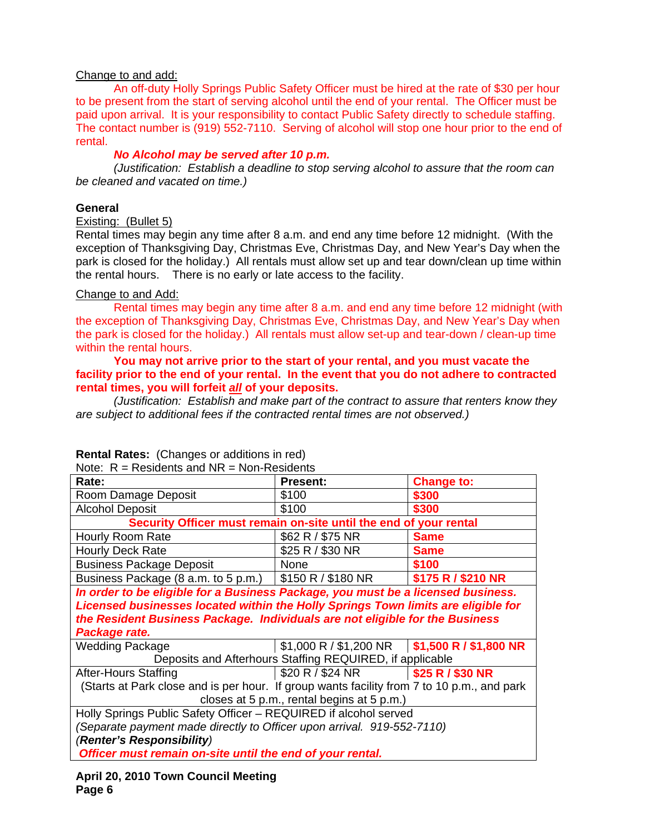# Change to and add:

 An off-duty Holly Springs Public Safety Officer must be hired at the rate of \$30 per hour to be present from the start of serving alcohol until the end of your rental. The Officer must be paid upon arrival. It is your responsibility to contact Public Safety directly to schedule staffing. The contact number is (919) 552-7110. Serving of alcohol will stop one hour prior to the end of rental.

# *No Alcohol may be served after 10 p.m.*

*(Justification: Establish a deadline to stop serving alcohol to assure that the room can be cleaned and vacated on time.)* 

### **General**

Existing: (Bullet 5)

Rental times may begin any time after 8 a.m. and end any time before 12 midnight. (With the exception of Thanksgiving Day, Christmas Eve, Christmas Day, and New Year's Day when the park is closed for the holiday.) All rentals must allow set up and tear down/clean up time within the rental hours. There is no early or late access to the facility.

### Change to and Add:

 Rental times may begin any time after 8 a.m. and end any time before 12 midnight (with the exception of Thanksgiving Day, Christmas Eve, Christmas Day, and New Year's Day when the park is closed for the holiday.) All rentals must allow set-up and tear-down / clean-up time within the rental hours.

 **You may not arrive prior to the start of your rental, and you must vacate the facility prior to the end of your rental. In the event that you do not adhere to contracted rental times, you will forfeit** *all* **of your deposits.** 

 *(Justification: Establish and make part of the contract to assure that renters know they are subject to additional fees if the contracted rental times are not observed.)* 

| INOTE. $R = Res[Q]$ respective and $NR = NQ$ in Residents                                  |                                                                               |                    |  |
|--------------------------------------------------------------------------------------------|-------------------------------------------------------------------------------|--------------------|--|
| Rate:                                                                                      | <b>Present:</b>                                                               | <b>Change to:</b>  |  |
| Room Damage Deposit                                                                        | \$100                                                                         | \$300              |  |
| <b>Alcohol Deposit</b>                                                                     | \$100                                                                         | \$300              |  |
| Security Officer must remain on-site until the end of your rental                          |                                                                               |                    |  |
| Hourly Room Rate                                                                           | \$62 R / \$75 NR                                                              | <b>Same</b>        |  |
| <b>Hourly Deck Rate</b>                                                                    | \$25 R / \$30 NR                                                              | <b>Same</b>        |  |
| <b>Business Package Deposit</b>                                                            | None                                                                          | \$100              |  |
| Business Package (8 a.m. to 5 p.m.) $\frac{1}{2}$ \$150 R / \$180 NR                       |                                                                               | \$175 R / \$210 NR |  |
| In order to be eligible for a Business Package, you must be a licensed business.           |                                                                               |                    |  |
| Licensed businesses located within the Holly Springs Town limits are eligible for          |                                                                               |                    |  |
| the Resident Business Package. Individuals are not eligible for the Business               |                                                                               |                    |  |
| Package rate.                                                                              |                                                                               |                    |  |
| <b>Wedding Package</b>                                                                     | $$1,000 \text{ R} / $1,200 \text{ NR}$ $$1,500 \text{ R} / $1,800 \text{ NR}$ |                    |  |
| Deposits and Afterhours Staffing REQUIRED, if applicable                                   |                                                                               |                    |  |
| After-Hours Staffing                                                                       | $$20 R / $24 NR$ $$25 R / $30 NR$                                             |                    |  |
| (Starts at Park close and is per hour. If group wants facility from 7 to 10 p.m., and park |                                                                               |                    |  |
| closes at 5 p.m., rental begins at 5 p.m.)                                                 |                                                                               |                    |  |
| Holly Springs Public Safety Officer - REQUIRED if alcohol served                           |                                                                               |                    |  |
| (Separate payment made directly to Officer upon arrival. 919-552-7110)                     |                                                                               |                    |  |
| (Renter's Responsibility)                                                                  |                                                                               |                    |  |
| Officer must remain on-site until the end of your rental.                                  |                                                                               |                    |  |
|                                                                                            |                                                                               |                    |  |

#### **Rental Rates:** (Changes or additions in red) Note: Residents and NR = Non-Residents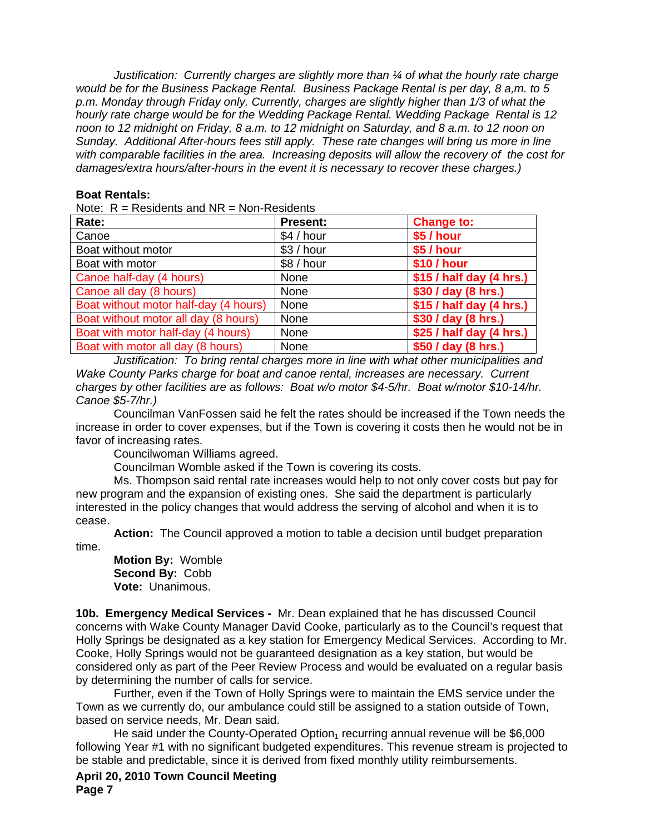*Justification: Currently charges are slightly more than ¼ of what the hourly rate charge would be for the Business Package Rental. Business Package Rental is per day, 8 a,m. to 5 p.m. Monday through Friday only. Currently, charges are slightly higher than 1/3 of what the hourly rate charge would be for the Wedding Package Rental. Wedding Package Rental is 12 noon to 12 midnight on Friday, 8 a.m. to 12 midnight on Saturday, and 8 a.m. to 12 noon on Sunday. Additional After-hours fees still apply. These rate changes will bring us more in line with comparable facilities in the area. Increasing deposits will allow the recovery of the cost for damages/extra hours/after-hours in the event it is necessary to recover these charges.)*

### **Boat Rentals:**

Note:  $R =$  Residents and NR = Non-Residents

| Rate:                                 | <b>Present:</b> | <b>Change to:</b>        |
|---------------------------------------|-----------------|--------------------------|
| Canoe                                 | \$4 / hour      | \$5 / hour               |
| Boat without motor                    | \$3/hour        | \$5 / hour               |
| Boat with motor                       | \$8/hour        | \$10 / hour              |
| Canoe half-day (4 hours)              | None            | \$15 / half day (4 hrs.) |
| Canoe all day (8 hours)               | None            | \$30 / day (8 hrs.)      |
| Boat without motor half-day (4 hours) | None            | \$15 / half day (4 hrs.) |
| Boat without motor all day (8 hours)  | None            | \$30 / day (8 hrs.)      |
| Boat with motor half-day (4 hours)    | None            | \$25 / half day (4 hrs.) |
| Boat with motor all day (8 hours)     | None            | \$50 / day (8 hrs.)      |

 *Justification: To bring rental charges more in line with what other municipalities and Wake County Parks charge for boat and canoe rental, increases are necessary. Current charges by other facilities are as follows: Boat w/o motor \$4-5/hr. Boat w/motor \$10-14/hr. Canoe \$5-7/hr.)* 

 Councilman VanFossen said he felt the rates should be increased if the Town needs the increase in order to cover expenses, but if the Town is covering it costs then he would not be in favor of increasing rates.

Councilwoman Williams agreed.

Councilman Womble asked if the Town is covering its costs.

 Ms. Thompson said rental rate increases would help to not only cover costs but pay for new program and the expansion of existing ones. She said the department is particularly interested in the policy changes that would address the serving of alcohol and when it is to cease.

**Action:** The Council approved a motion to table a decision until budget preparation time.

**Motion By:** Womble **Second By:** Cobb **Vote:** Unanimous.

**10b. Emergency Medical Services -** Mr. Dean explained that he has discussed Council concerns with Wake County Manager David Cooke, particularly as to the Council's request that Holly Springs be designated as a key station for Emergency Medical Services. According to Mr. Cooke, Holly Springs would not be guaranteed designation as a key station, but would be considered only as part of the Peer Review Process and would be evaluated on a regular basis by determining the number of calls for service.

 Further, even if the Town of Holly Springs were to maintain the EMS service under the Town as we currently do, our ambulance could still be assigned to a station outside of Town, based on service needs, Mr. Dean said.

He said under the County-Operated Option<sub>1</sub> recurring annual revenue will be  $$6,000$ following Year #1 with no significant budgeted expenditures. This revenue stream is projected to be stable and predictable, since it is derived from fixed monthly utility reimbursements.